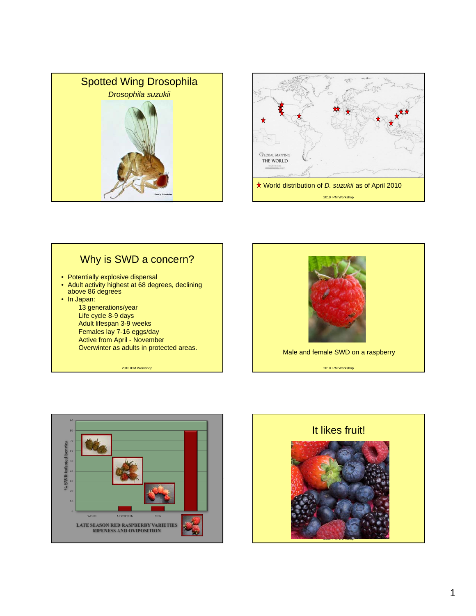









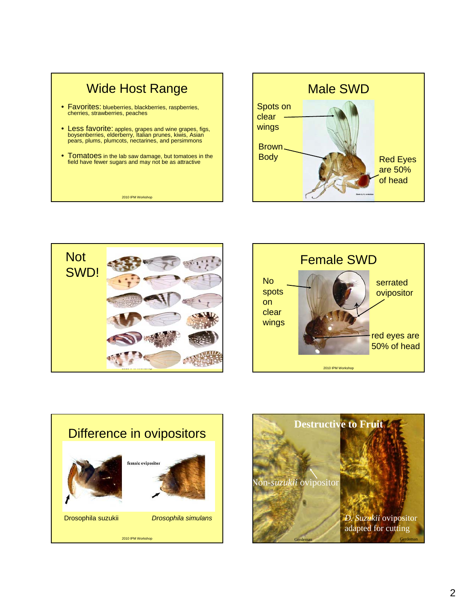









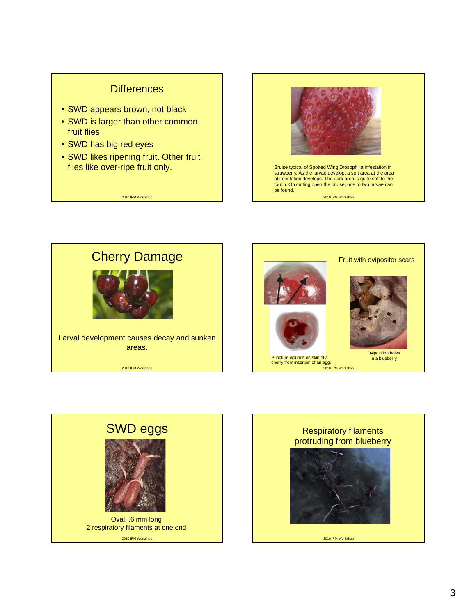## **Differences**

- SWD appears brown, not black
- SWD is larger than other common fruit flies
- SWD has big red eyes
- SWD likes ripening fruit. Other fruit flies like over-ripe fruit only.

2010 IPM Workshop









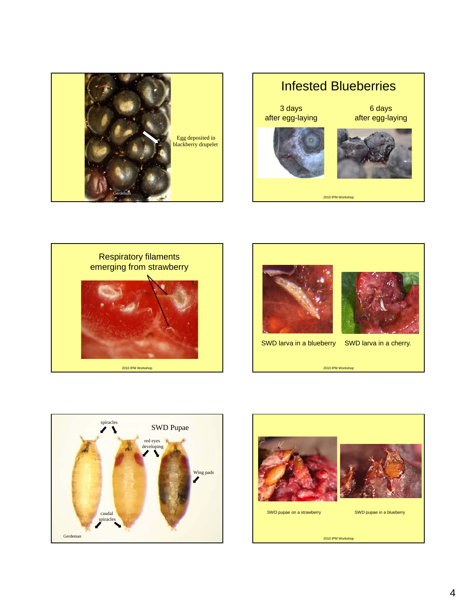









SWD larva in a blueberry SWD larva in a cherry.



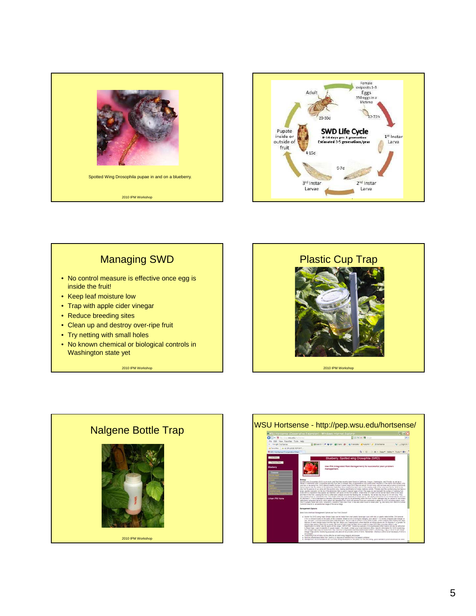



## Managing SWD • No control measure is effective once egg is inside the fruit! • Keep leaf moisture low • Trap with apple cider vinegar Trap with apple cider 2010 IPM Workshop • Reduce breeding sites • Clean up and destroy over-ripe fruit • Try netting with small holes • No known chemical or biological controls in Washington state yet Plastic Cup Trap 2010 IPM Workshop